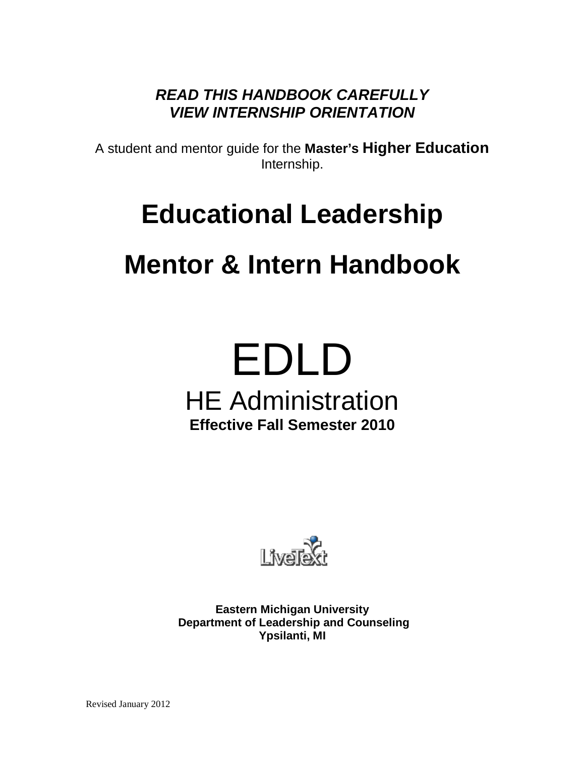*READ THIS HANDBOOK CAREFULLY VIEW INTERNSHIP ORIENTATION*

A student and mentor guide for the **Master's Higher Education** Internship.

## **Educational Leadership**

## **Mentor & Intern Handbook**

# EDLD HE Administration **Effective Fall Semester 2010**



**Eastern Michigan University Department of Leadership and Counseling Ypsilanti, MI**

Revised January 2012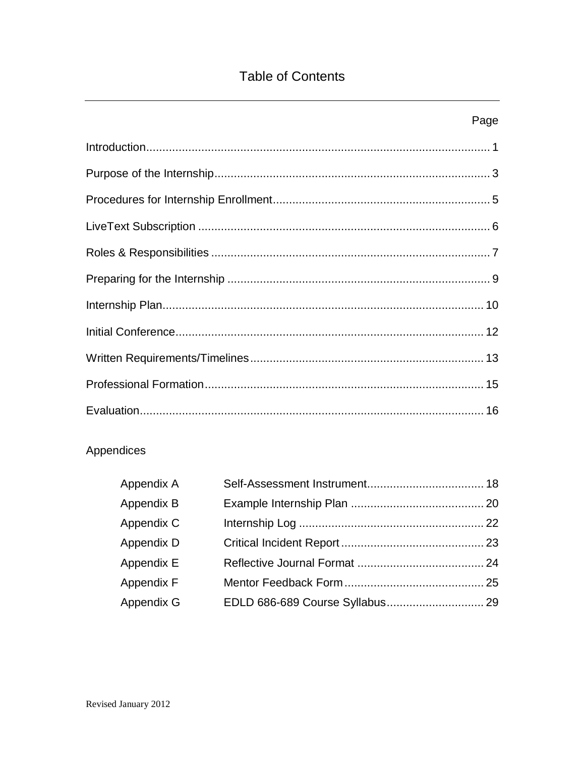## **Table of Contents**

| Page |
|------|
|      |
|      |
|      |
|      |
|      |
|      |
|      |
|      |
|      |
|      |
|      |

## Appendices

| Appendix A |  |
|------------|--|
| Appendix B |  |
| Appendix C |  |
| Appendix D |  |
| Appendix E |  |
| Appendix F |  |
| Appendix G |  |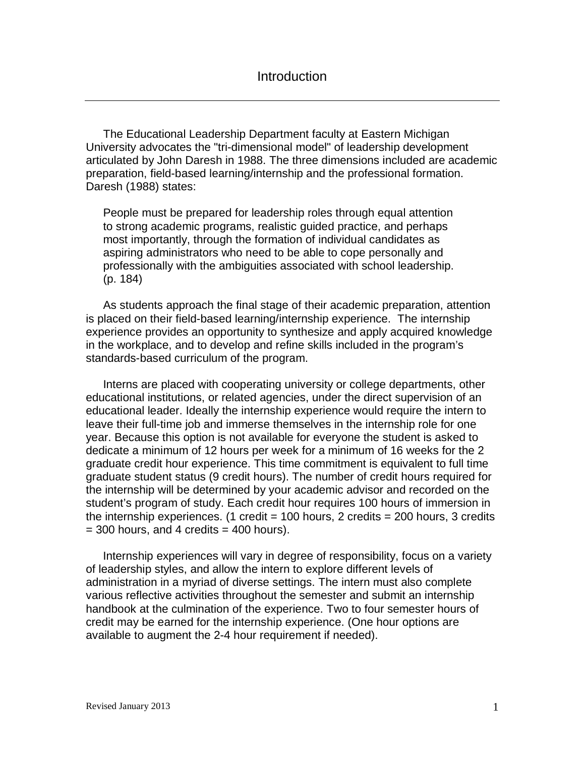The Educational Leadership Department faculty at Eastern Michigan University advocates the "tri-dimensional model" of leadership development articulated by John Daresh in 1988. The three dimensions included are academic preparation, field-based learning/internship and the professional formation. Daresh (1988) states:

People must be prepared for leadership roles through equal attention to strong academic programs, realistic guided practice, and perhaps most importantly, through the formation of individual candidates as aspiring administrators who need to be able to cope personally and professionally with the ambiguities associated with school leadership. (p. 184)

As students approach the final stage of their academic preparation, attention is placed on their field-based learning/internship experience. The internship experience provides an opportunity to synthesize and apply acquired knowledge in the workplace, and to develop and refine skills included in the program's standards-based curriculum of the program.

Interns are placed with cooperating university or college departments, other educational institutions, or related agencies, under the direct supervision of an educational leader. Ideally the internship experience would require the intern to leave their full-time job and immerse themselves in the internship role for one year. Because this option is not available for everyone the student is asked to dedicate a minimum of 12 hours per week for a minimum of 16 weeks for the 2 graduate credit hour experience. This time commitment is equivalent to full time graduate student status (9 credit hours). The number of credit hours required for the internship will be determined by your academic advisor and recorded on the student's program of study. Each credit hour requires 100 hours of immersion in the internship experiences. (1 credit =  $100$  hours, 2 credits =  $200$  hours, 3 credits  $=$  300 hours, and 4 credits  $=$  400 hours).

Internship experiences will vary in degree of responsibility, focus on a variety of leadership styles, and allow the intern to explore different levels of administration in a myriad of diverse settings. The intern must also complete various reflective activities throughout the semester and submit an internship handbook at the culmination of the experience. Two to four semester hours of credit may be earned for the internship experience. (One hour options are available to augment the 2-4 hour requirement if needed).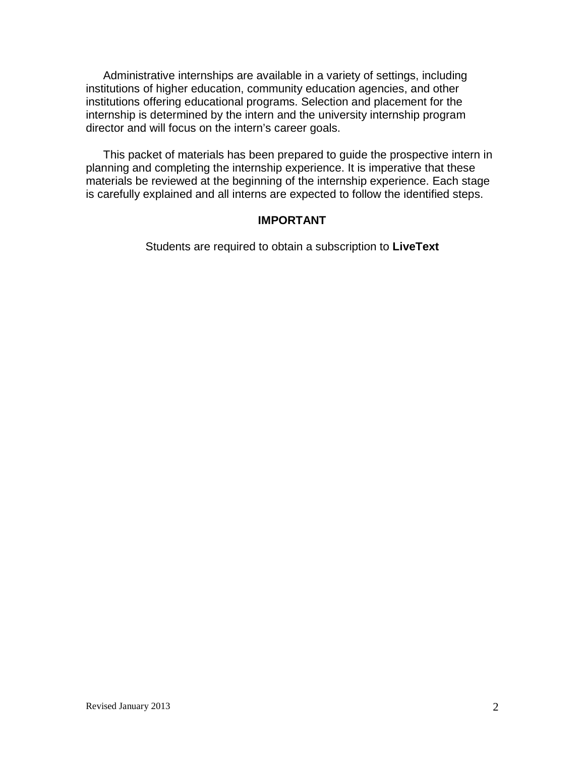Administrative internships are available in a variety of settings, including institutions of higher education, community education agencies, and other institutions offering educational programs. Selection and placement for the internship is determined by the intern and the university internship program director and will focus on the intern's career goals.

This packet of materials has been prepared to guide the prospective intern in planning and completing the internship experience. It is imperative that these materials be reviewed at the beginning of the internship experience. Each stage is carefully explained and all interns are expected to follow the identified steps.

#### **IMPORTANT**

Students are required to obtain a subscription to **LiveText**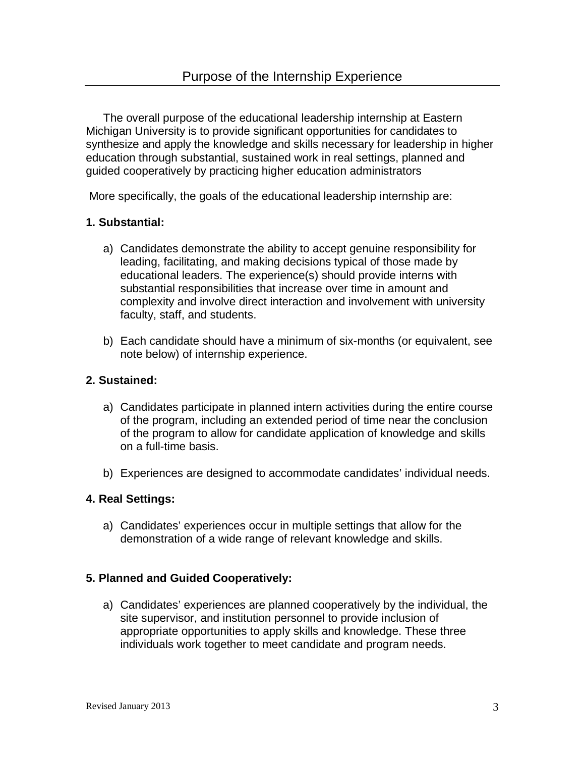The overall purpose of the educational leadership internship at Eastern Michigan University is to provide significant opportunities for candidates to synthesize and apply the knowledge and skills necessary for leadership in higher education through substantial, sustained work in real settings, planned and guided cooperatively by practicing higher education administrators

More specifically, the goals of the educational leadership internship are:

## **1. Substantial:**

- a) Candidates demonstrate the ability to accept genuine responsibility for leading, facilitating, and making decisions typical of those made by educational leaders. The experience(s) should provide interns with substantial responsibilities that increase over time in amount and complexity and involve direct interaction and involvement with university faculty, staff, and students.
- b) Each candidate should have a minimum of six-months (or equivalent, see note below) of internship experience.

## **2. Sustained:**

- a) Candidates participate in planned intern activities during the entire course of the program, including an extended period of time near the conclusion of the program to allow for candidate application of knowledge and skills on a full-time basis.
- b) Experiences are designed to accommodate candidates' individual needs.

## **4. Real Settings:**

a) Candidates' experiences occur in multiple settings that allow for the demonstration of a wide range of relevant knowledge and skills.

## **5. Planned and Guided Cooperatively:**

a) Candidates' experiences are planned cooperatively by the individual, the site supervisor, and institution personnel to provide inclusion of appropriate opportunities to apply skills and knowledge. These three individuals work together to meet candidate and program needs.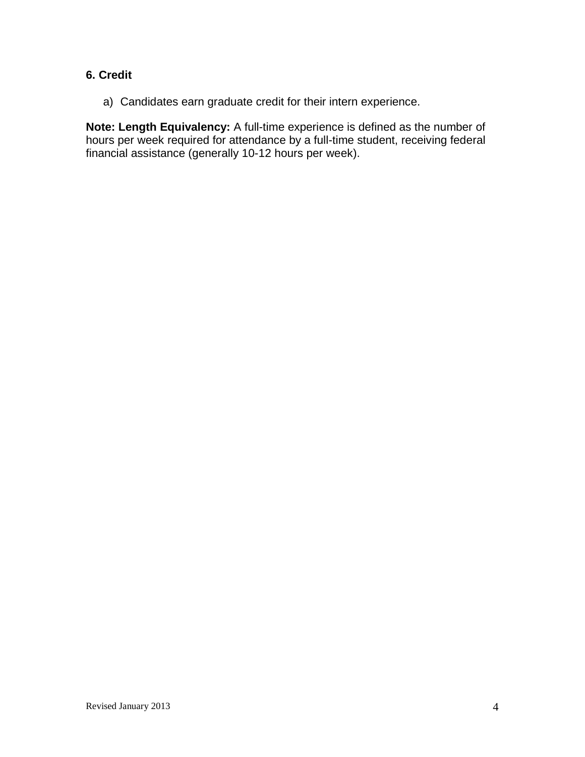## **6. Credit**

a) Candidates earn graduate credit for their intern experience.

**Note: Length Equivalency:** A full-time experience is defined as the number of hours per week required for attendance by a full-time student, receiving federal financial assistance (generally 10-12 hours per week).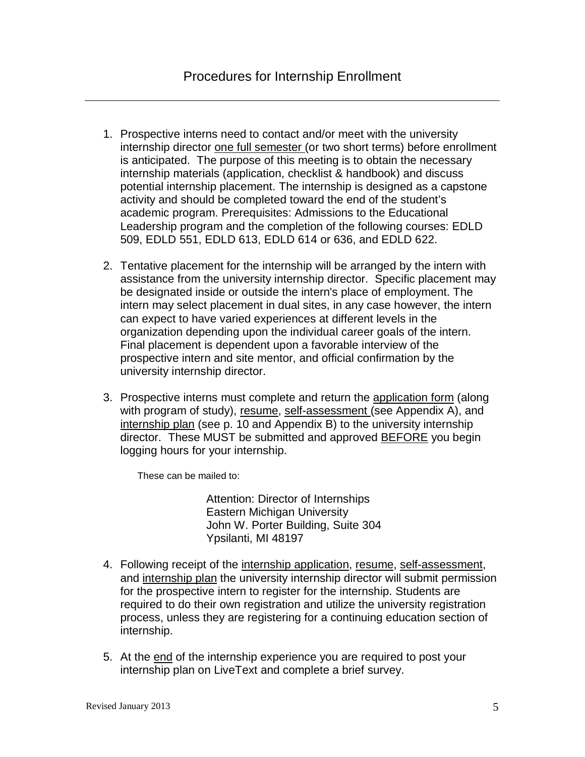- 1. Prospective interns need to contact and/or meet with the university internship director one full semester (or two short terms) before enrollment is anticipated. The purpose of this meeting is to obtain the necessary internship materials (application, checklist & handbook) and discuss potential internship placement. The internship is designed as a capstone activity and should be completed toward the end of the student's academic program. Prerequisites: Admissions to the Educational Leadership program and the completion of the following courses: EDLD 509, EDLD 551, EDLD 613, EDLD 614 or 636, and EDLD 622.
- 2. Tentative placement for the internship will be arranged by the intern with assistance from the university internship director. Specific placement may be designated inside or outside the intern's place of employment. The intern may select placement in dual sites, in any case however, the intern can expect to have varied experiences at different levels in the organization depending upon the individual career goals of the intern. Final placement is dependent upon a favorable interview of the prospective intern and site mentor, and official confirmation by the university internship director.
- 3. Prospective interns must complete and return the application form (along with program of study), resume, self-assessment (see Appendix A), and internship plan (see p. 10 and Appendix B) to the university internship director. These MUST be submitted and approved BEFORE you begin logging hours for your internship.

These can be mailed to:

Attention: Director of Internships Eastern Michigan University John W. Porter Building, Suite 304 Ypsilanti, MI 48197

- 4. Following receipt of the internship application, resume, self-assessment, and internship plan the university internship director will submit permission for the prospective intern to register for the internship. Students are required to do their own registration and utilize the university registration process, unless they are registering for a continuing education section of internship.
- 5. At the end of the internship experience you are required to post your internship plan on LiveText and complete a brief survey.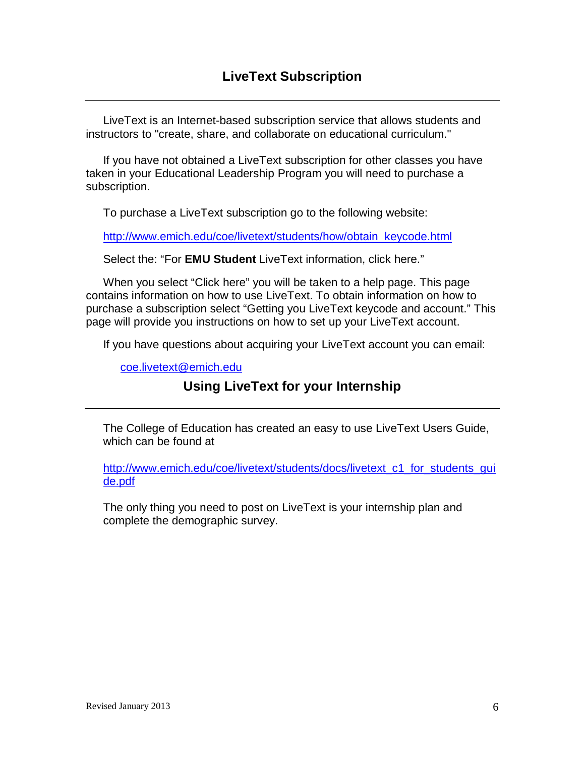LiveText is an Internet-based subscription service that allows students and instructors to "create, share, and collaborate on educational curriculum."

If you have not obtained a LiveText subscription for other classes you have taken in your Educational Leadership Program you will need to purchase a subscription.

To purchase a LiveText subscription go to the following website:

[http://www.emich.edu/coe/livetext/students/how/obtain\\_keycode.html](http://www.emich.edu/coe/livetext/students/how/obtain_keycode.html)

Select the: "For **EMU Student** LiveText information, click here."

When you select "Click here" you will be taken to a help page. This page contains information on how to use LiveText. To obtain information on how to purchase a subscription select "Getting you LiveText keycode and account." This page will provide you instructions on how to set up your LiveText account.

If you have questions about acquiring your LiveText account you can email:

[coe.livetext@emich.edu](mailto:coe.livetext@emich.edu)

## **Using LiveText for your Internship**

The College of Education has created an easy to use LiveText Users Guide, which can be found at

[http://www.emich.edu/coe/livetext/students/docs/livetext\\_c1\\_for\\_students\\_gui](http://www.emich.edu/coe/livetext/students/docs/livetext_c1_for_students_guide.pdf) [de.pdf](http://www.emich.edu/coe/livetext/students/docs/livetext_c1_for_students_guide.pdf)

The only thing you need to post on LiveText is your internship plan and complete the demographic survey.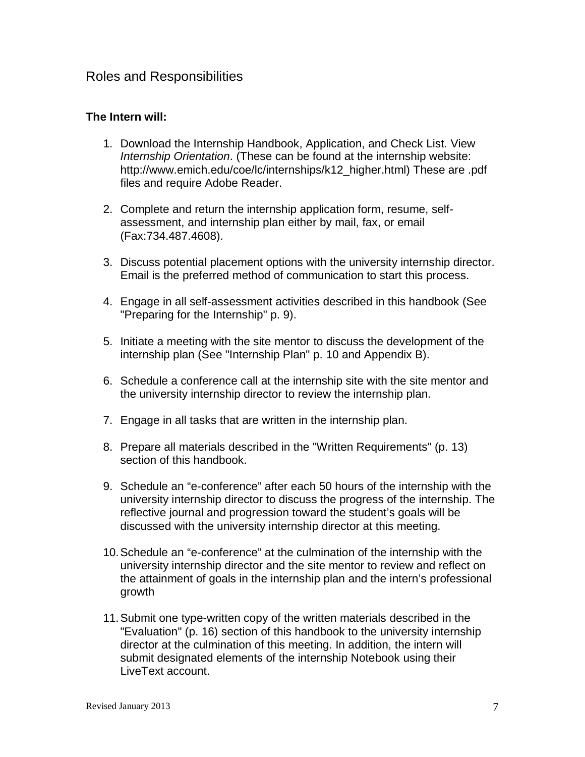## Roles and Responsibilities

## **The Intern will:**

- 1. Download the Internship Handbook, Application, and Check List. View *Internship Orientation*. (These can be found at the internship website: http://www.emich.edu/coe/lc/internships/k12\_higher.html) These are .pdf files and require Adobe Reader.
- 2. Complete and return the internship application form, resume, selfassessment, and internship plan either by mail, fax, or email (Fax:734.487.4608).
- 3. Discuss potential placement options with the university internship director. Email is the preferred method of communication to start this process.
- 4. Engage in all self-assessment activities described in this handbook (See "Preparing for the Internship" p. 9).
- 5. Initiate a meeting with the site mentor to discuss the development of the internship plan (See "Internship Plan" p. 10 and Appendix B).
- 6. Schedule a conference call at the internship site with the site mentor and the university internship director to review the internship plan.
- 7. Engage in all tasks that are written in the internship plan.
- 8. Prepare all materials described in the "Written Requirements" (p. 13) section of this handbook.
- 9. Schedule an "e-conference" after each 50 hours of the internship with the university internship director to discuss the progress of the internship. The reflective journal and progression toward the student's goals will be discussed with the university internship director at this meeting.
- 10.Schedule an "e-conference" at the culmination of the internship with the university internship director and the site mentor to review and reflect on the attainment of goals in the internship plan and the intern's professional growth
- 11.Submit one type-written copy of the written materials described in the "Evaluation" (p. 16) section of this handbook to the university internship director at the culmination of this meeting. In addition, the intern will submit designated elements of the internship Notebook using their LiveText account.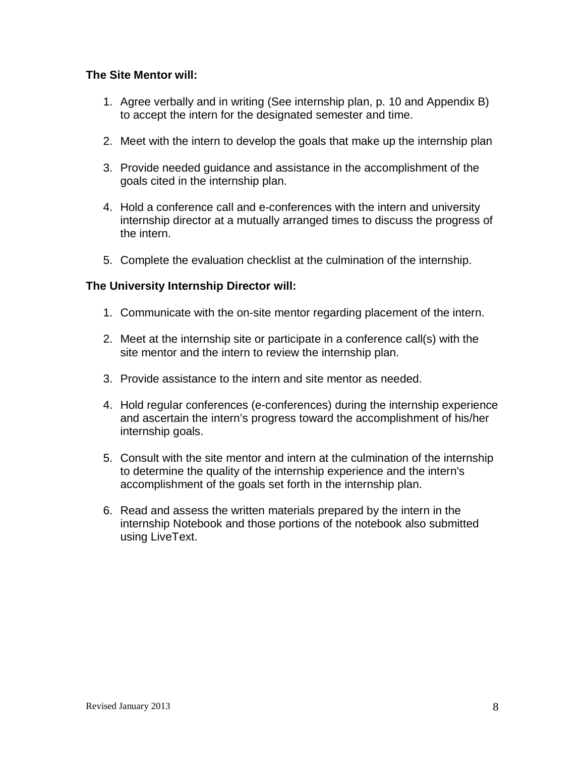## **The Site Mentor will:**

- 1. Agree verbally and in writing (See internship plan, p. 10 and Appendix B) to accept the intern for the designated semester and time.
- 2. Meet with the intern to develop the goals that make up the internship plan
- 3. Provide needed guidance and assistance in the accomplishment of the goals cited in the internship plan.
- 4. Hold a conference call and e-conferences with the intern and university internship director at a mutually arranged times to discuss the progress of the intern.
- 5. Complete the evaluation checklist at the culmination of the internship.

## **The University Internship Director will:**

- 1. Communicate with the on-site mentor regarding placement of the intern.
- 2. Meet at the internship site or participate in a conference call(s) with the site mentor and the intern to review the internship plan.
- 3. Provide assistance to the intern and site mentor as needed.
- 4. Hold regular conferences (e-conferences) during the internship experience and ascertain the intern's progress toward the accomplishment of his/her internship goals.
- 5. Consult with the site mentor and intern at the culmination of the internship to determine the quality of the internship experience and the intern's accomplishment of the goals set forth in the internship plan.
- 6. Read and assess the written materials prepared by the intern in the internship Notebook and those portions of the notebook also submitted using LiveText.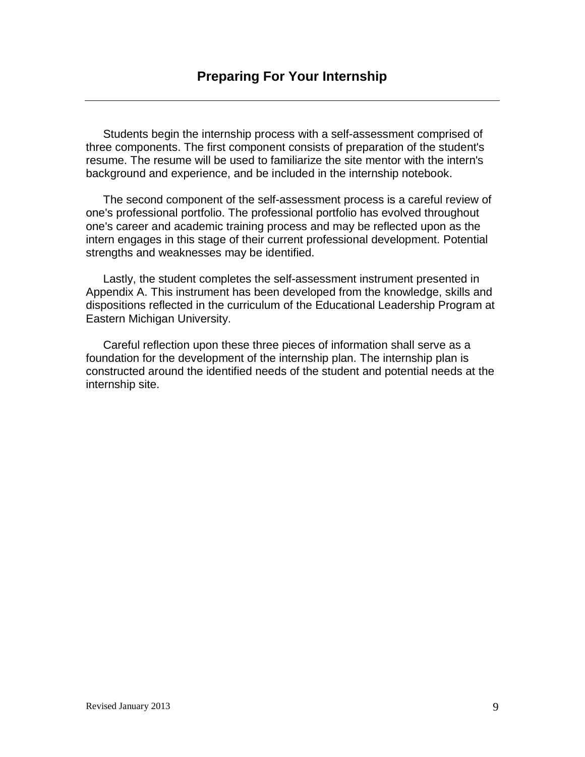Students begin the internship process with a self-assessment comprised of three components. The first component consists of preparation of the student's resume. The resume will be used to familiarize the site mentor with the intern's background and experience, and be included in the internship notebook.

The second component of the self-assessment process is a careful review of one's professional portfolio. The professional portfolio has evolved throughout one's career and academic training process and may be reflected upon as the intern engages in this stage of their current professional development. Potential strengths and weaknesses may be identified.

Lastly, the student completes the self-assessment instrument presented in Appendix A. This instrument has been developed from the knowledge, skills and dispositions reflected in the curriculum of the Educational Leadership Program at Eastern Michigan University.

Careful reflection upon these three pieces of information shall serve as a foundation for the development of the internship plan. The internship plan is constructed around the identified needs of the student and potential needs at the internship site.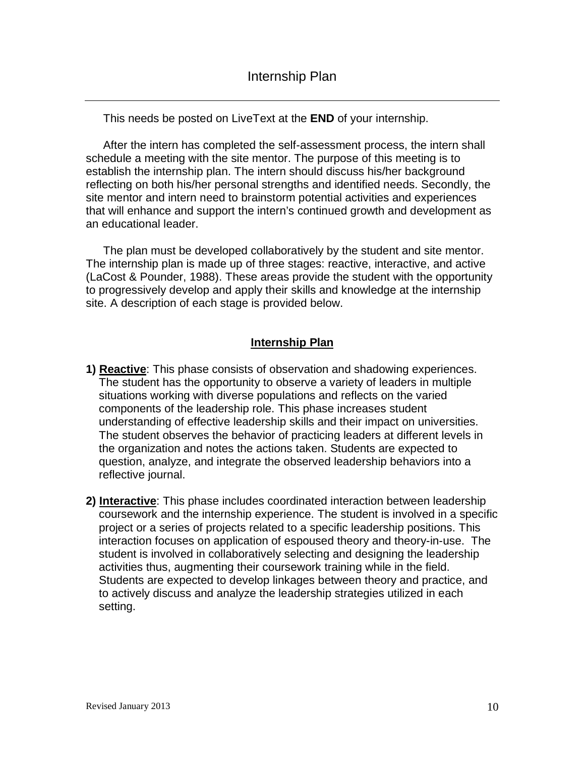This needs be posted on LiveText at the **END** of your internship.

After the intern has completed the self-assessment process, the intern shall schedule a meeting with the site mentor. The purpose of this meeting is to establish the internship plan. The intern should discuss his/her background reflecting on both his/her personal strengths and identified needs. Secondly, the site mentor and intern need to brainstorm potential activities and experiences that will enhance and support the intern's continued growth and development as an educational leader.

The plan must be developed collaboratively by the student and site mentor. The internship plan is made up of three stages: reactive, interactive, and active (LaCost & Pounder, 1988). These areas provide the student with the opportunity to progressively develop and apply their skills and knowledge at the internship site. A description of each stage is provided below.

## **Internship Plan**

- **1) Reactive**: This phase consists of observation and shadowing experiences. The student has the opportunity to observe a variety of leaders in multiple situations working with diverse populations and reflects on the varied components of the leadership role. This phase increases student understanding of effective leadership skills and their impact on universities. The student observes the behavior of practicing leaders at different levels in the organization and notes the actions taken. Students are expected to question, analyze, and integrate the observed leadership behaviors into a reflective journal.
- **2) Interactive**: This phase includes coordinated interaction between leadership coursework and the internship experience. The student is involved in a specific project or a series of projects related to a specific leadership positions. This interaction focuses on application of espoused theory and theory-in-use. The student is involved in collaboratively selecting and designing the leadership activities thus, augmenting their coursework training while in the field. Students are expected to develop linkages between theory and practice, and to actively discuss and analyze the leadership strategies utilized in each setting.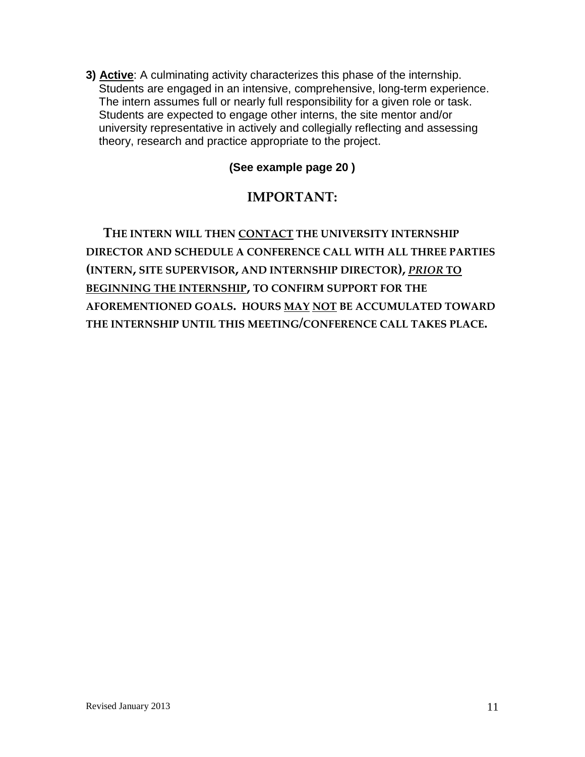**3) Active**: A culminating activity characterizes this phase of the internship. Students are engaged in an intensive, comprehensive, long-term experience. The intern assumes full or nearly full responsibility for a given role or task. Students are expected to engage other interns, the site mentor and/or university representative in actively and collegially reflecting and assessing theory, research and practice appropriate to the project.

## **(See example page 20 )**

## **IMPORTANT:**

**THE INTERN WILL THEN CONTACT THE UNIVERSITY INTERNSHIP DIRECTOR AND SCHEDULE A CONFERENCE CALL WITH ALL THREE PARTIES (INTERN, SITE SUPERVISOR, AND INTERNSHIP DIRECTOR),** *PRIOR* **TO BEGINNING THE INTERNSHIP, TO CONFIRM SUPPORT FOR THE AFOREMENTIONED GOALS. HOURS MAY NOT BE ACCUMULATED TOWARD THE INTERNSHIP UNTIL THIS MEETING/CONFERENCE CALL TAKES PLACE.**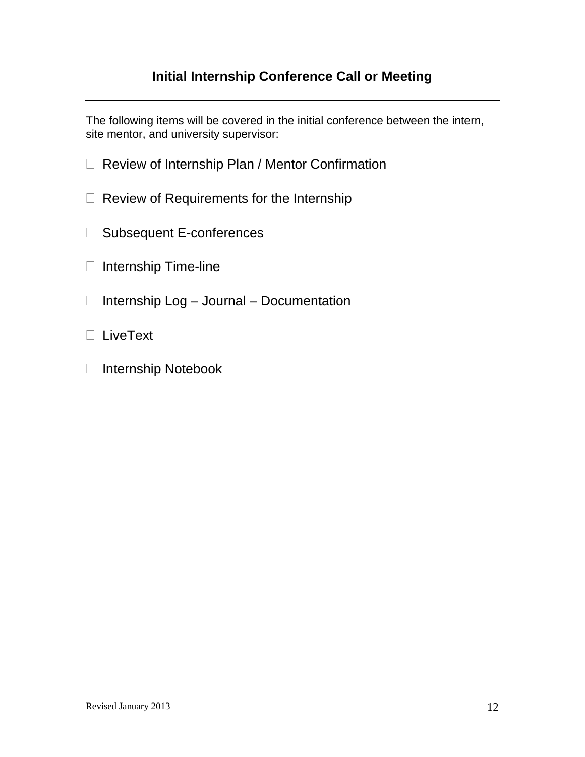## **Initial Internship Conference Call or Meeting**

The following items will be covered in the initial conference between the intern, site mentor, and university supervisor:

- □ Review of Internship Plan / Mentor Confirmation
- $\Box$  Review of Requirements for the Internship
- □ Subsequent E-conferences
- $\Box$  Internship Time-line
- $\Box$  Internship Log Journal Documentation
- LiveText
- □ Internship Notebook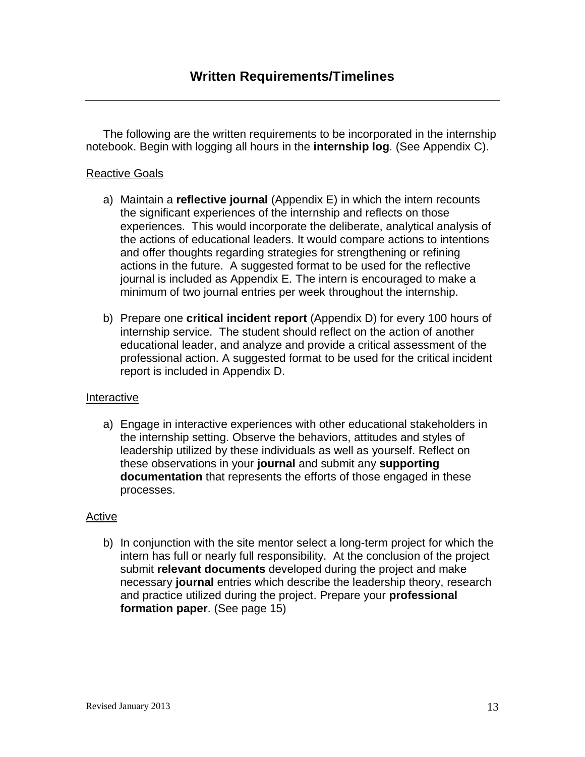The following are the written requirements to be incorporated in the internship notebook. Begin with logging all hours in the **internship log**. (See Appendix C).

## Reactive Goals

- a) Maintain a **reflective journal** (Appendix E) in which the intern recounts the significant experiences of the internship and reflects on those experiences. This would incorporate the deliberate, analytical analysis of the actions of educational leaders. It would compare actions to intentions and offer thoughts regarding strategies for strengthening or refining actions in the future. A suggested format to be used for the reflective journal is included as Appendix E. The intern is encouraged to make a minimum of two journal entries per week throughout the internship.
- b) Prepare one **critical incident report** (Appendix D) for every 100 hours of internship service. The student should reflect on the action of another educational leader, and analyze and provide a critical assessment of the professional action. A suggested format to be used for the critical incident report is included in Appendix D.

## Interactive

a) Engage in interactive experiences with other educational stakeholders in the internship setting. Observe the behaviors, attitudes and styles of leadership utilized by these individuals as well as yourself. Reflect on these observations in your **journal** and submit any **supporting documentation** that represents the efforts of those engaged in these processes.

## Active

b) In conjunction with the site mentor select a long-term project for which the intern has full or nearly full responsibility. At the conclusion of the project submit **relevant documents** developed during the project and make necessary **journal** entries which describe the leadership theory, research and practice utilized during the project. Prepare your **professional formation paper**. (See page 15)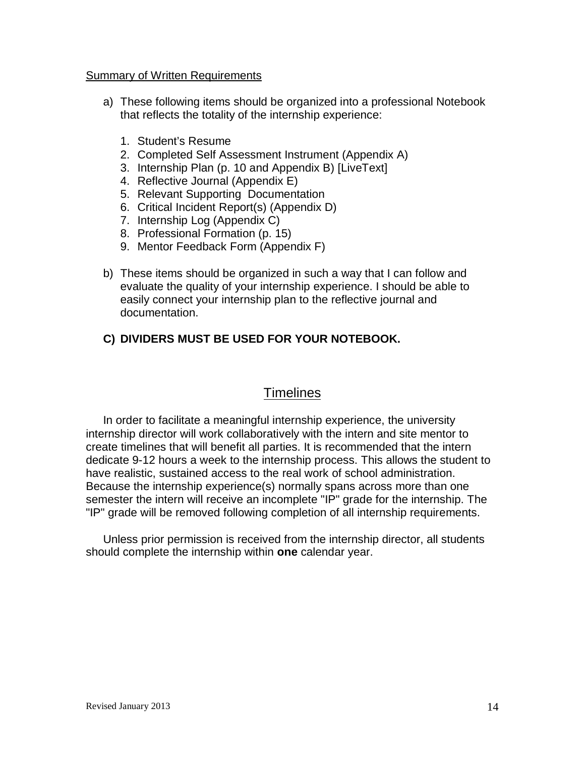#### Summary of Written Requirements

- a) These following items should be organized into a professional Notebook that reflects the totality of the internship experience:
	- 1. Student's Resume
	- 2. Completed Self Assessment Instrument (Appendix A)
	- 3. Internship Plan (p. 10 and Appendix B) [LiveText]
	- 4. Reflective Journal (Appendix E)
	- 5. Relevant Supporting Documentation
	- 6. Critical Incident Report(s) (Appendix D)
	- 7. Internship Log (Appendix C)
	- 8. Professional Formation (p. 15)
	- 9. Mentor Feedback Form (Appendix F)
- b) These items should be organized in such a way that I can follow and evaluate the quality of your internship experience. I should be able to easily connect your internship plan to the reflective journal and documentation.

## **C) DIVIDERS MUST BE USED FOR YOUR NOTEBOOK.**

## **Timelines**

In order to facilitate a meaningful internship experience, the university internship director will work collaboratively with the intern and site mentor to create timelines that will benefit all parties. It is recommended that the intern dedicate 9-12 hours a week to the internship process. This allows the student to have realistic, sustained access to the real work of school administration. Because the internship experience(s) normally spans across more than one semester the intern will receive an incomplete "IP" grade for the internship. The "IP" grade will be removed following completion of all internship requirements.

Unless prior permission is received from the internship director, all students should complete the internship within **one** calendar year.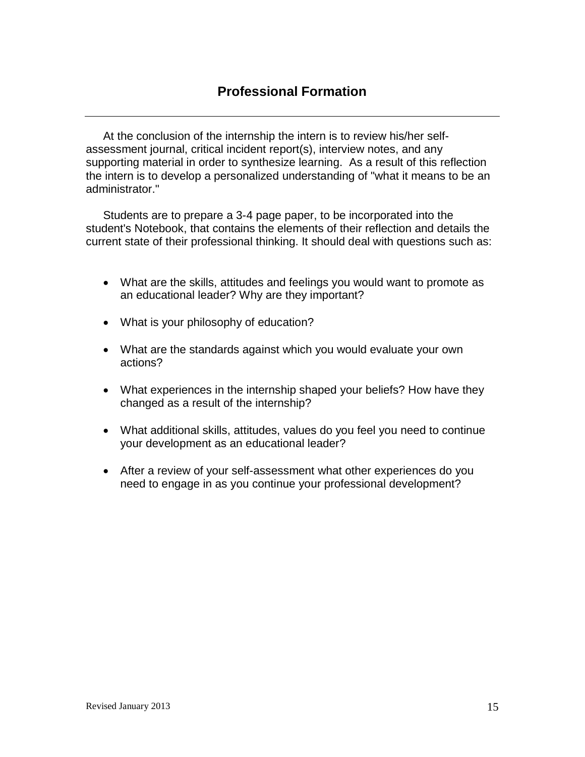At the conclusion of the internship the intern is to review his/her selfassessment journal, critical incident report(s), interview notes, and any supporting material in order to synthesize learning. As a result of this reflection the intern is to develop a personalized understanding of "what it means to be an administrator."

Students are to prepare a 3-4 page paper, to be incorporated into the student's Notebook, that contains the elements of their reflection and details the current state of their professional thinking. It should deal with questions such as:

- What are the skills, attitudes and feelings you would want to promote as an educational leader? Why are they important?
- What is your philosophy of education?
- What are the standards against which you would evaluate your own actions?
- What experiences in the internship shaped your beliefs? How have they changed as a result of the internship?
- What additional skills, attitudes, values do you feel you need to continue your development as an educational leader?
- After a review of your self-assessment what other experiences do you need to engage in as you continue your professional development?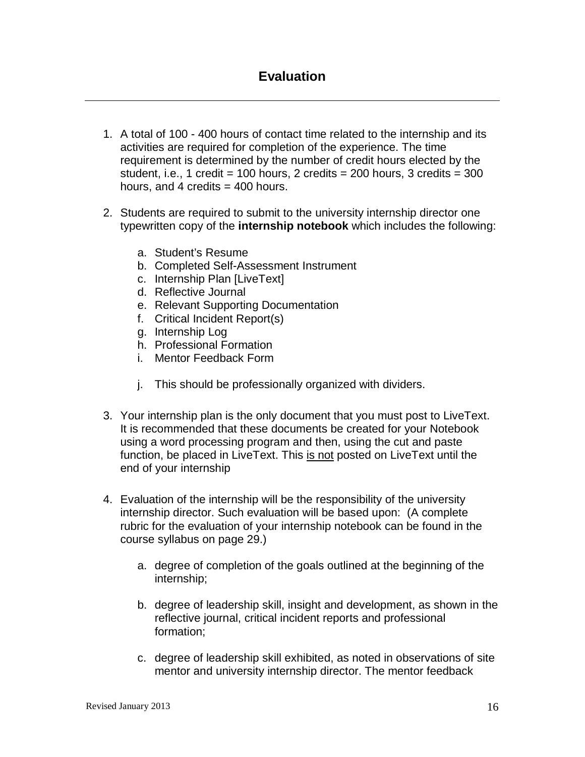- 1. A total of 100 400 hours of contact time related to the internship and its activities are required for completion of the experience. The time requirement is determined by the number of credit hours elected by the student. i.e., 1 credit = 100 hours, 2 credits =  $200$  hours, 3 credits =  $300$ hours, and 4 credits  $=$  400 hours.
- 2. Students are required to submit to the university internship director one typewritten copy of the **internship notebook** which includes the following:
	- a. Student's Resume
	- b. Completed Self-Assessment Instrument
	- c. Internship Plan [LiveText]
	- d. Reflective Journal
	- e. Relevant Supporting Documentation
	- f. Critical Incident Report(s)
	- g. Internship Log
	- h. Professional Formation
	- i. Mentor Feedback Form
	- j. This should be professionally organized with dividers.
- 3. Your internship plan is the only document that you must post to LiveText. It is recommended that these documents be created for your Notebook using a word processing program and then, using the cut and paste function, be placed in LiveText. This is not posted on LiveText until the end of your internship
- 4. Evaluation of the internship will be the responsibility of the university internship director. Such evaluation will be based upon: (A complete rubric for the evaluation of your internship notebook can be found in the course syllabus on page 29.)
	- a. degree of completion of the goals outlined at the beginning of the internship;
	- b. degree of leadership skill, insight and development, as shown in the reflective journal, critical incident reports and professional formation;
	- c. degree of leadership skill exhibited, as noted in observations of site mentor and university internship director. The mentor feedback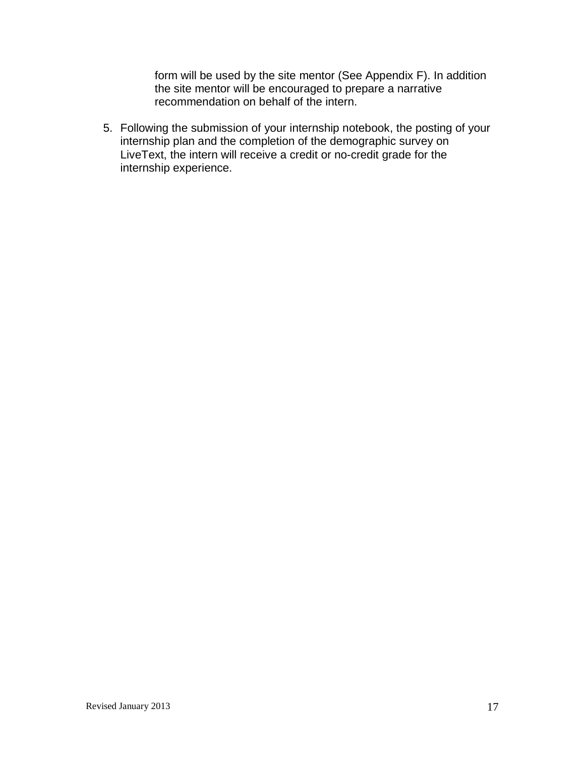form will be used by the site mentor (See Appendix F). In addition the site mentor will be encouraged to prepare a narrative recommendation on behalf of the intern.

5. Following the submission of your internship notebook, the posting of your internship plan and the completion of the demographic survey on LiveText, the intern will receive a credit or no-credit grade for the internship experience.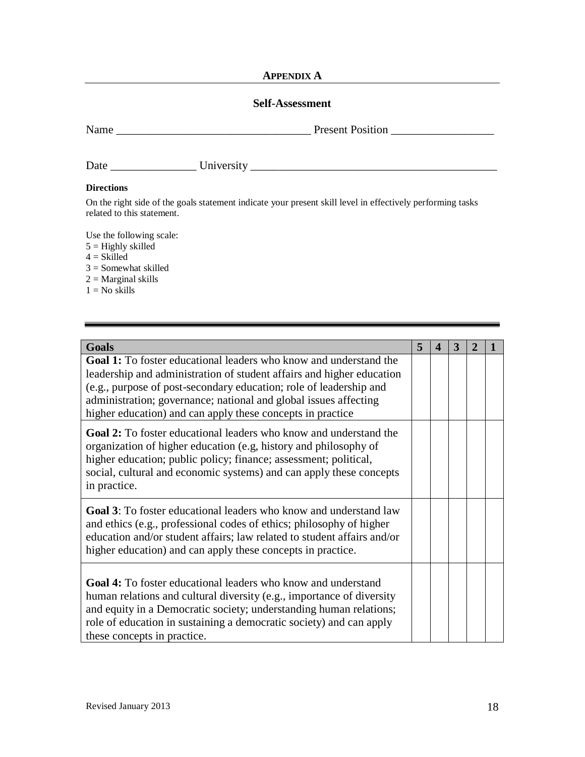#### **APPENDIX A**

#### **Self-Assessment**

| Name |
|------|
|      |

Name \_\_\_\_\_\_\_\_\_\_\_\_\_\_\_\_\_\_\_\_\_\_\_\_\_\_\_\_\_\_\_\_\_\_ Present Position \_\_\_\_\_\_\_\_\_\_\_\_\_\_\_\_\_\_

| $\overline{\phantom{a}}$<br>Date | Versi.<br>.<br>∽<br>.<br>$-$ 0.1016<br>- |  |
|----------------------------------|------------------------------------------|--|
|                                  |                                          |  |

#### **Directions**

On the right side of the goals statement indicate your present skill level in effectively performing tasks related to this statement.

Use the following scale:

- $5 =$  Highly skilled
- $4 = Skilled$
- 3 = Somewhat skilled
- $2 =$  Marginal skills
- $1 = No$  skills

| <b>Goals</b>                                                                                                                                                                                                                                                                                                                                              | 5 | $\boldsymbol{\Delta}$ | 3 | 2 |  |
|-----------------------------------------------------------------------------------------------------------------------------------------------------------------------------------------------------------------------------------------------------------------------------------------------------------------------------------------------------------|---|-----------------------|---|---|--|
| <b>Goal 1:</b> To foster educational leaders who know and understand the<br>leadership and administration of student affairs and higher education<br>(e.g., purpose of post-secondary education; role of leadership and<br>administration; governance; national and global issues affecting<br>higher education) and can apply these concepts in practice |   |                       |   |   |  |
| <b>Goal 2:</b> To foster educational leaders who know and understand the<br>organization of higher education (e.g, history and philosophy of<br>higher education; public policy; finance; assessment; political,<br>social, cultural and economic systems) and can apply these concepts<br>in practice.                                                   |   |                       |   |   |  |
| <b>Goal 3:</b> To foster educational leaders who know and understand law<br>and ethics (e.g., professional codes of ethics; philosophy of higher<br>education and/or student affairs; law related to student affairs and/or<br>higher education) and can apply these concepts in practice.                                                                |   |                       |   |   |  |
| <b>Goal 4:</b> To foster educational leaders who know and understand<br>human relations and cultural diversity (e.g., importance of diversity<br>and equity in a Democratic society; understanding human relations;<br>role of education in sustaining a democratic society) and can apply<br>these concepts in practice.                                 |   |                       |   |   |  |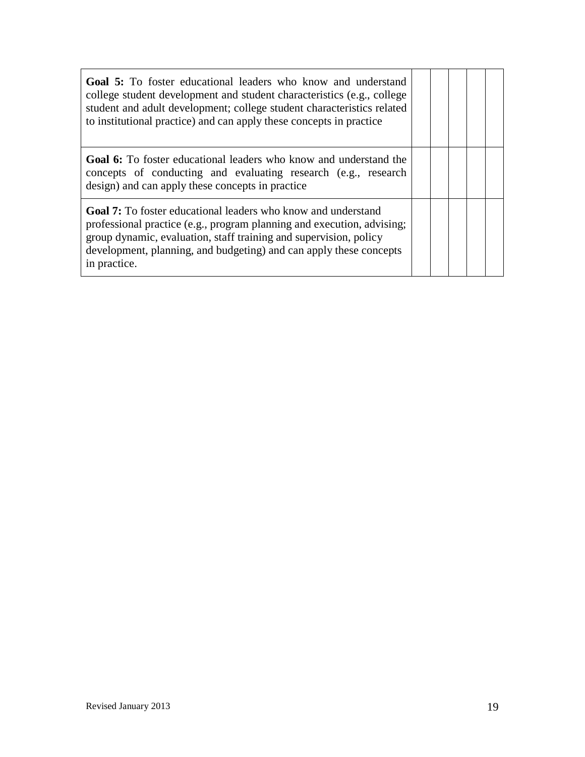| <b>Goal 5:</b> To foster educational leaders who know and understand<br>college student development and student characteristics (e.g., college<br>student and adult development; college student characteristics related<br>to institutional practice) and can apply these concepts in practice           |  |  |  |
|-----------------------------------------------------------------------------------------------------------------------------------------------------------------------------------------------------------------------------------------------------------------------------------------------------------|--|--|--|
| <b>Goal 6:</b> To foster educational leaders who know and understand the<br>concepts of conducting and evaluating research (e.g., research<br>design) and can apply these concepts in practice                                                                                                            |  |  |  |
| <b>Goal 7:</b> To foster educational leaders who know and understand<br>professional practice (e.g., program planning and execution, advising;<br>group dynamic, evaluation, staff training and supervision, policy<br>development, planning, and budgeting) and can apply these concepts<br>in practice. |  |  |  |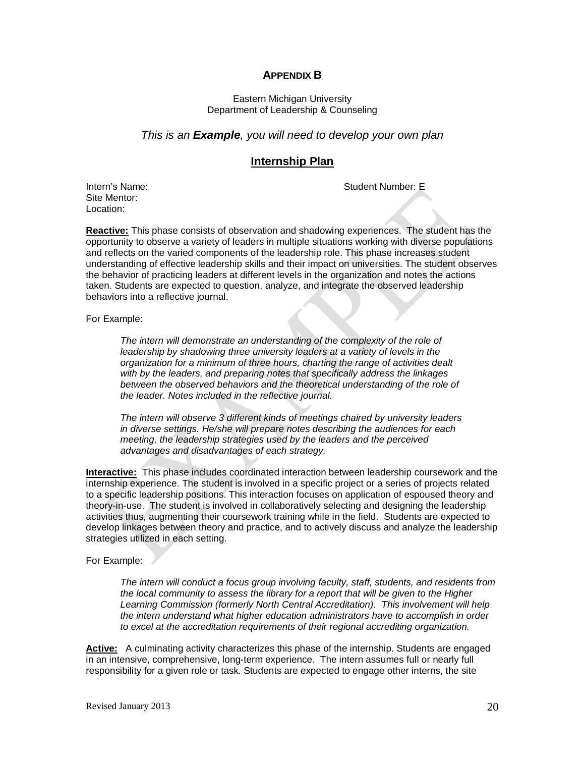#### **APPENDIX B**

#### Eastern Michigan University Department of Leadership & Counseling

#### *This is an Example, you will need to develop your own plan*

#### **Internship Plan**

Intern's Name: Student Number: E

Site Mentor: Location:

**Reactive:** This phase consists of observation and shadowing experiences. The student has the opportunity to observe a variety of leaders in multiple situations working with diverse populations and reflects on the varied components of the leadership role. This phase increases student understanding of effective leadership skills and their impact on universities. The student observes the behavior of practicing leaders at different levels in the organization and notes the actions taken. Students are expected to question, analyze, and integrate the observed leadership behaviors into a reflective journal.

For Example:

*The intern will demonstrate an understanding of the complexity of the role of leadership by shadowing three university leaders at a variety of levels in the organization for a minimum of three hours, charting the range of activities dealt with by the leaders, and preparing notes that specifically address the linkages between the observed behaviors and the theoretical understanding of the role of the leader. Notes included in the reflective journal.* 

*The intern will observe 3 different kinds of meetings chaired by university leaders in diverse settings. He/she will prepare notes describing the audiences for each meeting, the leadership strategies used by the leaders and the perceived advantages and disadvantages of each strategy.* 

**Interactive:** This phase includes coordinated interaction between leadership coursework and the internship experience. The student is involved in a specific project or a series of projects related to a specific leadership positions. This interaction focuses on application of espoused theory and theory-in-use. The student is involved in collaboratively selecting and designing the leadership activities thus, augmenting their coursework training while in the field. Students are expected to develop linkages between theory and practice, and to actively discuss and analyze the leadership strategies utilized in each setting.

#### For Example:

*The intern will conduct a focus group involving faculty, staff, students, and residents from the local community to assess the library for a report that will be given to the Higher Learning Commission (formerly North Central Accreditation). This involvement will help the intern understand what higher education administrators have to accomplish in order to excel at the accreditation requirements of their regional accrediting organization.*

**Active:** A culminating activity characterizes this phase of the internship. Students are engaged in an intensive, comprehensive, long-term experience. The intern assumes full or nearly full responsibility for a given role or task. Students are expected to engage other interns, the site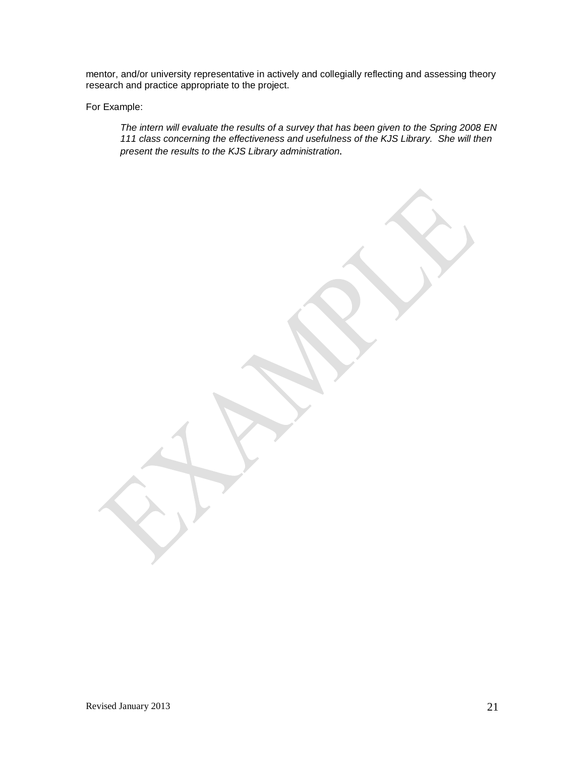mentor, and/or university representative in actively and collegially reflecting and assessing theory research and practice appropriate to the project.

For Example:

*The intern will evaluate the results of a survey that has been given to the Spring 2008 EN 111 class concerning the effectiveness and usefulness of the KJS Library. She will then present the results to the KJS Library administration.*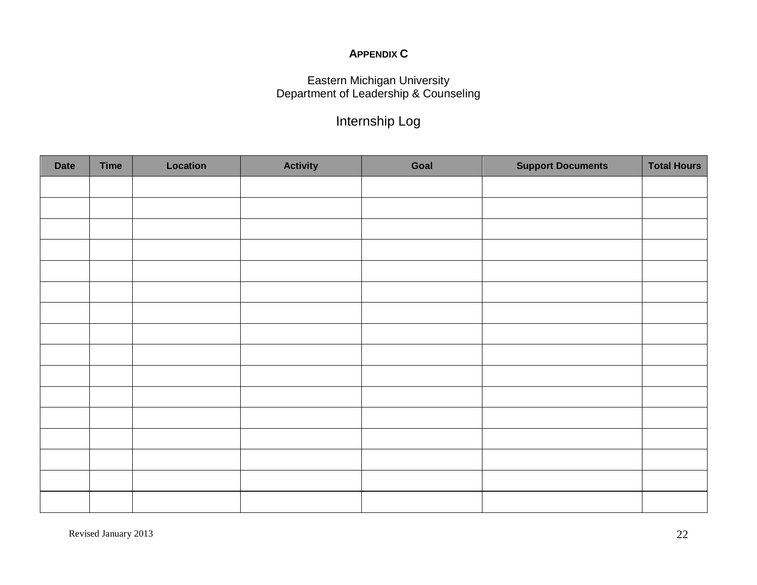## **APPENDIX C**

## Eastern Michigan University Department of Leadership & Counseling

## Internship Log

| <b>Date</b> | <b>Time</b> | Location | <b>Activity</b> | Goal | <b>Support Documents</b> | <b>Total Hours</b> |
|-------------|-------------|----------|-----------------|------|--------------------------|--------------------|
|             |             |          |                 |      |                          |                    |
|             |             |          |                 |      |                          |                    |
|             |             |          |                 |      |                          |                    |
|             |             |          |                 |      |                          |                    |
|             |             |          |                 |      |                          |                    |
|             |             |          |                 |      |                          |                    |
|             |             |          |                 |      |                          |                    |
|             |             |          |                 |      |                          |                    |
|             |             |          |                 |      |                          |                    |
|             |             |          |                 |      |                          |                    |
|             |             |          |                 |      |                          |                    |
|             |             |          |                 |      |                          |                    |
|             |             |          |                 |      |                          |                    |
|             |             |          |                 |      |                          |                    |
|             |             |          |                 |      |                          |                    |
|             |             |          |                 |      |                          |                    |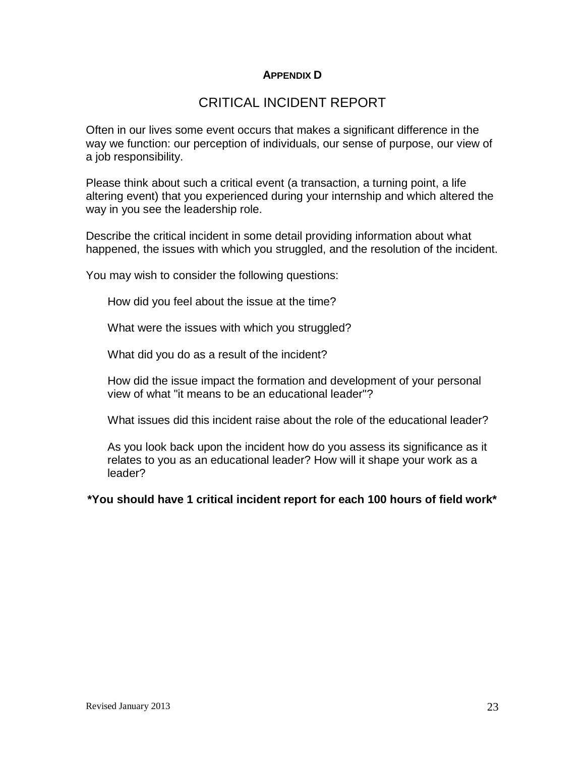## **APPENDIX D**

## CRITICAL INCIDENT REPORT

Often in our lives some event occurs that makes a significant difference in the way we function: our perception of individuals, our sense of purpose, our view of a job responsibility.

Please think about such a critical event (a transaction, a turning point, a life altering event) that you experienced during your internship and which altered the way in you see the leadership role.

Describe the critical incident in some detail providing information about what happened, the issues with which you struggled, and the resolution of the incident.

You may wish to consider the following questions:

How did you feel about the issue at the time?

What were the issues with which you struggled?

What did you do as a result of the incident?

How did the issue impact the formation and development of your personal view of what "it means to be an educational leader"?

What issues did this incident raise about the role of the educational leader?

As you look back upon the incident how do you assess its significance as it relates to you as an educational leader? How will it shape your work as a leader?

**\*You should have 1 critical incident report for each 100 hours of field work\***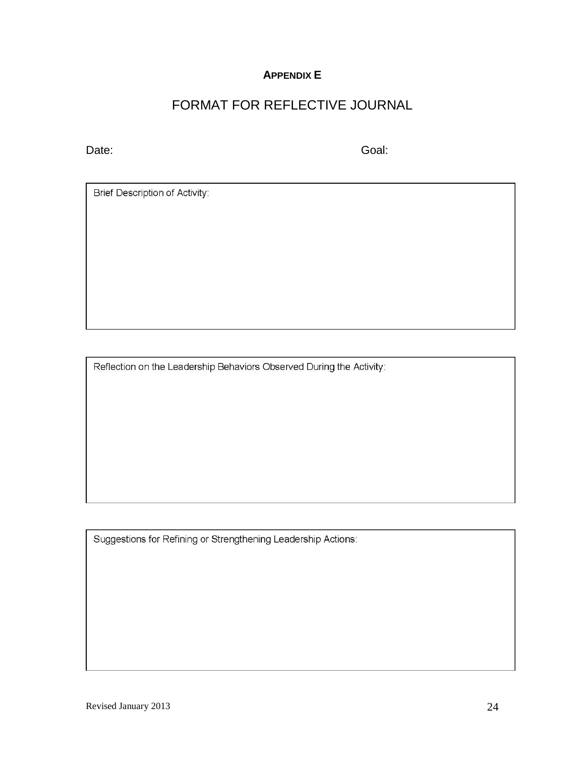## **APPENDIX E**

## FORMAT FOR REFLECTIVE JOURNAL

Date: Goal: Goal: Goal: Goal: Goal: Goal: Goal: Goal: Goal: Goal: Goal: Goal: Goal: Goal: Goal: Goal: Goal: Goal: Goal: Goal: Goal: Goal: Goal: Goal: Goal: Goal: Goal: Goal: Goal: Goal: Goal: Goal: Goal: Goal: Goal: Goal:

Brief Description of Activity:

Reflection on the Leadership Behaviors Observed During the Activity:

Suggestions for Refining or Strengthening Leadership Actions: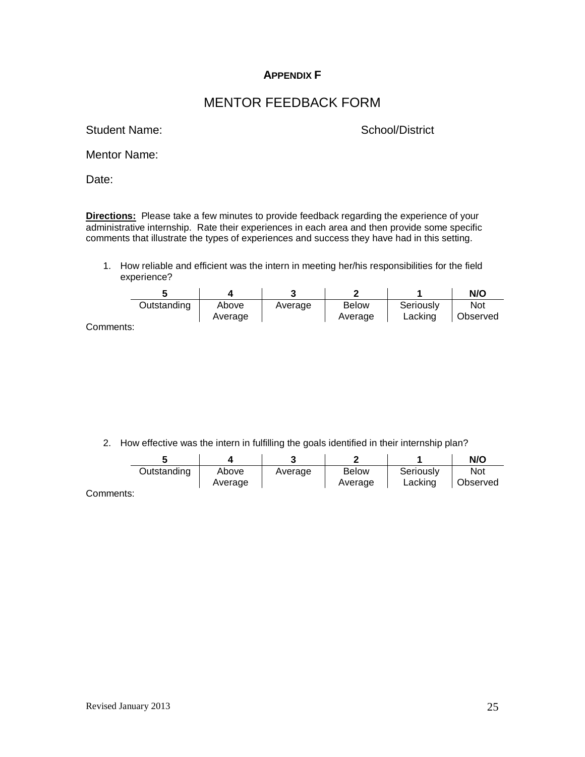## **APPENDIX F**

## MENTOR FEEDBACK FORM

Student Name: School/District

Mentor Name:

Date:

**Directions:** Please take a few minutes to provide feedback regarding the experience of your administrative internship. Rate their experiences in each area and then provide some specific comments that illustrate the types of experiences and success they have had in this setting.

1. How reliable and efficient was the intern in meeting her/his responsibilities for the field experience?

|           |             |                  |         |                         |                      | N/O                    |
|-----------|-------------|------------------|---------|-------------------------|----------------------|------------------------|
|           | Outstanding | Above<br>Average | Average | <b>Below</b><br>Average | Seriously<br>Lacking | <b>Not</b><br>Observed |
| Comments: |             |                  |         |                         |                      |                        |

2. How effective was the intern in fulfilling the goals identified in their internship plan?

|           |             |                  |         |                         |                      | N/O                    |
|-----------|-------------|------------------|---------|-------------------------|----------------------|------------------------|
|           | Outstanding | Above<br>Average | Average | <b>Below</b><br>Average | Seriously<br>Lacking | <b>Not</b><br>Observed |
| Comments: |             |                  |         |                         |                      |                        |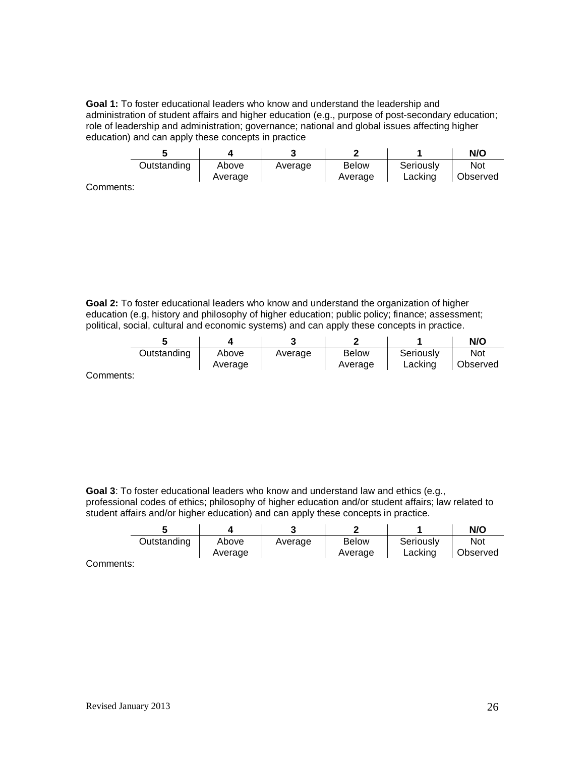**Goal 1:** To foster educational leaders who know and understand the leadership and administration of student affairs and higher education (e.g., purpose of post-secondary education; role of leadership and administration; governance; national and global issues affecting higher education) and can apply these concepts in practice

|            |             |         |         |              |           | N/O      |
|------------|-------------|---------|---------|--------------|-----------|----------|
|            | Outstanding | Above   | Average | <b>Below</b> | Seriously | Not      |
|            |             | Average |         | Average      | Lacking   | Observed |
| . <b>.</b> |             |         |         |              |           |          |

Comments:

**Goal 2:** To foster educational leaders who know and understand the organization of higher education (e.g, history and philosophy of higher education; public policy; finance; assessment; political, social, cultural and economic systems) and can apply these concepts in practice.

|         |             |         |         |              |                      | N/O                    |
|---------|-------------|---------|---------|--------------|----------------------|------------------------|
|         | Outstanding | Above   | Average | <b>Below</b> | Seriously<br>Lacking | Not<br><b>Observed</b> |
| amanta: |             | Average |         | Average      |                      |                        |

Comments:

**Goal 3**: To foster educational leaders who know and understand law and ethics (e.g., professional codes of ethics; philosophy of higher education and/or student affairs; law related to

student affairs and/or higher education) and can apply these concepts in practice.

|           |             |         |         |              |           | N/O      |
|-----------|-------------|---------|---------|--------------|-----------|----------|
|           | Outstanding | Above   | Average | <b>Below</b> | Seriously | Not      |
|           |             | Average |         | Average      | Lacking   | Observed |
| `ommante: |             |         |         |              |           |          |

Comments: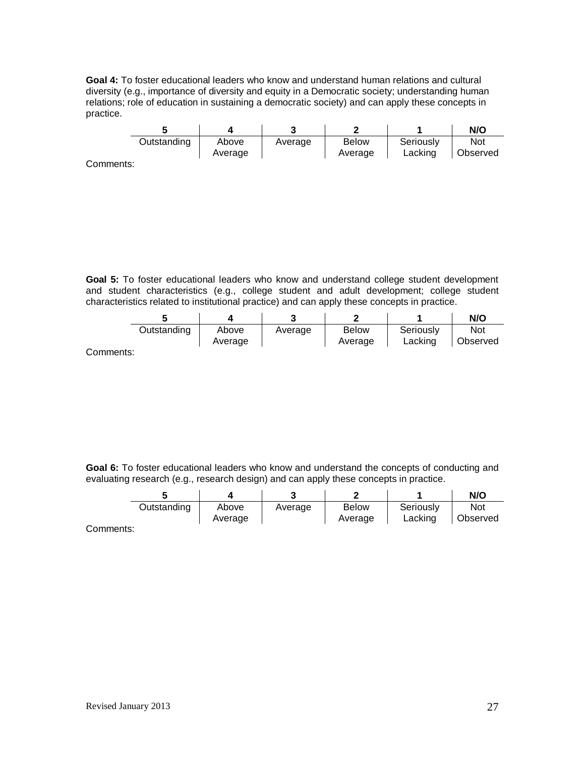**Goal 4:** To foster educational leaders who know and understand human relations and cultural diversity (e.g., importance of diversity and equity in a Democratic society; understanding human relations; role of education in sustaining a democratic society) and can apply these concepts in practice.

|          |             |                  |         |                         |                      | N/O                    |
|----------|-------------|------------------|---------|-------------------------|----------------------|------------------------|
|          | Outstanding | Above<br>Average | Average | <b>Below</b><br>Average | Seriously<br>Lacking | <b>Not</b><br>Observed |
| ommonto: |             |                  |         |                         |                      |                        |

Comments:

**Goal 5:** To foster educational leaders who know and understand college student development and student characteristics (e.g., college student and adult development; college student characteristics related to institutional practice) and can apply these concepts in practice.

|        |             |         | ◠       | ◠            |           | N/O      |
|--------|-------------|---------|---------|--------------|-----------|----------|
|        | Outstanding | Above   | Average | <b>Below</b> | Seriously | Not      |
|        |             | Average |         | Average      | Lacking   | Observed |
| maxmax |             |         |         |              |           |          |

Comments:

**Goal 6:** To foster educational leaders who know and understand the concepts of conducting and evaluating research (e.g., research design) and can apply these concepts in practice.

|           |             |                  |         | -                       |                      | N/O             |
|-----------|-------------|------------------|---------|-------------------------|----------------------|-----------------|
|           | Outstanding | Above<br>Average | Average | <b>Below</b><br>Average | Seriously<br>Lacking | Not<br>Observed |
| `ommonto: |             |                  |         |                         |                      |                 |

Comments: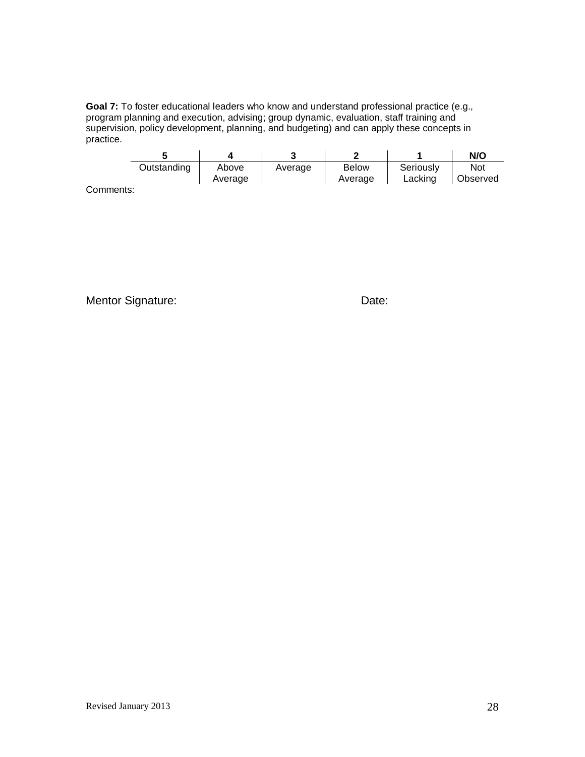**Goal 7:** To foster educational leaders who know and understand professional practice (e.g., program planning and execution, advising; group dynamic, evaluation, staff training and supervision, policy development, planning, and budgeting) and can apply these concepts in practice.

|                             |             |         |         |                         |                      | N/O             |
|-----------------------------|-------------|---------|---------|-------------------------|----------------------|-----------------|
|                             | Outstanding | Above   | Average | <b>Below</b><br>Average | Seriously<br>Lacking | Not<br>Observed |
| $'$ a mains a min a $\cdot$ |             | Average |         |                         |                      |                 |

Comments:

Mentor Signature: **Date:** Date: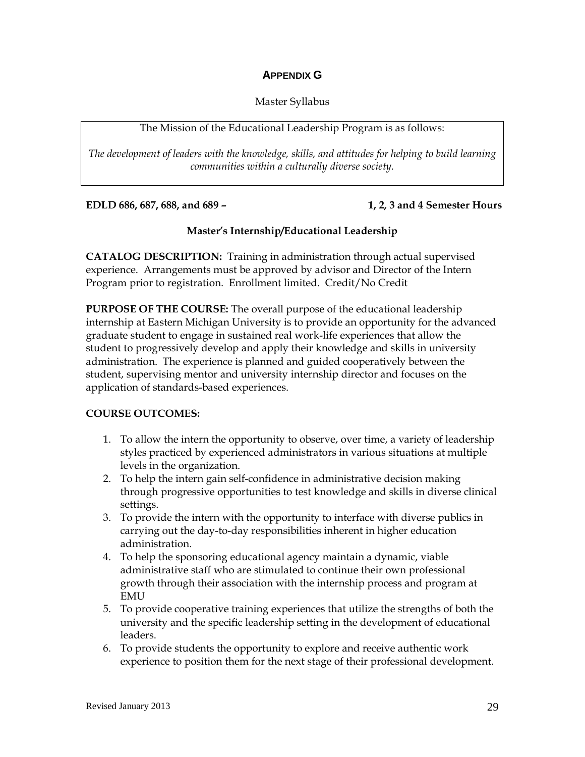## **APPENDIX G**

### Master Syllabus

#### The Mission of the Educational Leadership Program is as follows:

*The development of leaders with the knowledge, skills, and attitudes for helping to build learning communities within a culturally diverse society.*

**EDLD 686, 687, 688, and 689 – 1, 2, 3 and 4 Semester Hours**

## **Master's Internship/Educational Leadership**

**CATALOG DESCRIPTION:** Training in administration through actual supervised experience. Arrangements must be approved by advisor and Director of the Intern Program prior to registration. Enrollment limited. Credit/No Credit

**PURPOSE OF THE COURSE:** The overall purpose of the educational leadership internship at Eastern Michigan University is to provide an opportunity for the advanced graduate student to engage in sustained real work-life experiences that allow the student to progressively develop and apply their knowledge and skills in university administration. The experience is planned and guided cooperatively between the student, supervising mentor and university internship director and focuses on the application of standards-based experiences.

#### **COURSE OUTCOMES:**

- 1. To allow the intern the opportunity to observe, over time, a variety of leadership styles practiced by experienced administrators in various situations at multiple levels in the organization.
- 2. To help the intern gain self-confidence in administrative decision making through progressive opportunities to test knowledge and skills in diverse clinical settings.
- 3. To provide the intern with the opportunity to interface with diverse publics in carrying out the day-to-day responsibilities inherent in higher education administration.
- 4. To help the sponsoring educational agency maintain a dynamic, viable administrative staff who are stimulated to continue their own professional growth through their association with the internship process and program at EMU
- 5. To provide cooperative training experiences that utilize the strengths of both the university and the specific leadership setting in the development of educational leaders.
- 6. To provide students the opportunity to explore and receive authentic work experience to position them for the next stage of their professional development.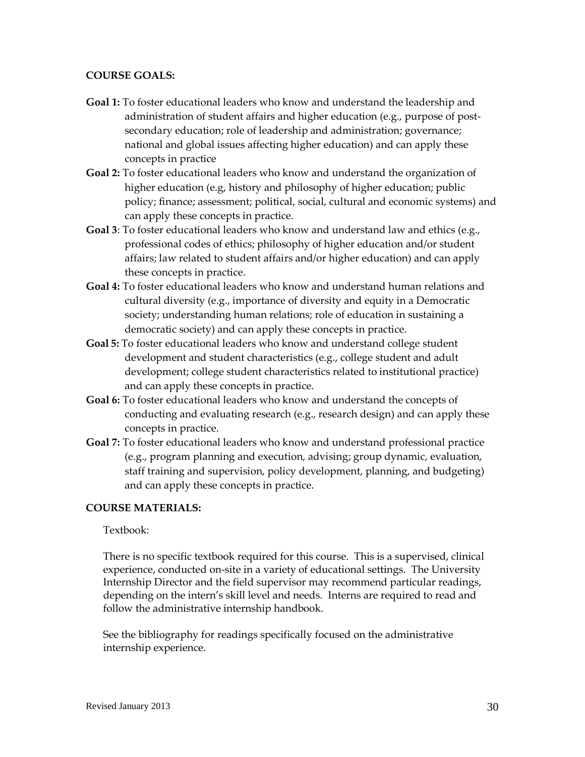#### **COURSE GOALS:**

- **Goal 1:** To foster educational leaders who know and understand the leadership and administration of student affairs and higher education (e.g., purpose of postsecondary education; role of leadership and administration; governance; national and global issues affecting higher education) and can apply these concepts in practice
- **Goal 2:** To foster educational leaders who know and understand the organization of higher education (e.g, history and philosophy of higher education; public policy; finance; assessment; political, social, cultural and economic systems) and can apply these concepts in practice.
- **Goal 3**: To foster educational leaders who know and understand law and ethics (e.g., professional codes of ethics; philosophy of higher education and/or student affairs; law related to student affairs and/or higher education) and can apply these concepts in practice.
- **Goal 4:** To foster educational leaders who know and understand human relations and cultural diversity (e.g., importance of diversity and equity in a Democratic society; understanding human relations; role of education in sustaining a democratic society) and can apply these concepts in practice.
- **Goal 5:** To foster educational leaders who know and understand college student development and student characteristics (e.g., college student and adult development; college student characteristics related to institutional practice) and can apply these concepts in practice.
- **Goal 6:** To foster educational leaders who know and understand the concepts of conducting and evaluating research (e.g., research design) and can apply these concepts in practice.
- **Goal 7:** To foster educational leaders who know and understand professional practice (e.g., program planning and execution, advising; group dynamic, evaluation, staff training and supervision, policy development, planning, and budgeting) and can apply these concepts in practice.

#### **COURSE MATERIALS:**

#### Textbook:

There is no specific textbook required for this course. This is a supervised, clinical experience, conducted on-site in a variety of educational settings. The University Internship Director and the field supervisor may recommend particular readings, depending on the intern's skill level and needs. Interns are required to read and follow the administrative internship handbook.

See the bibliography for readings specifically focused on the administrative internship experience.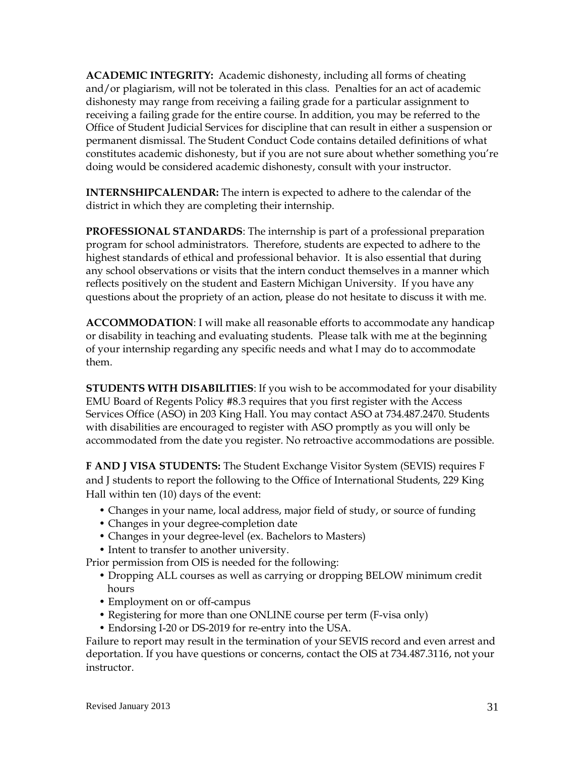**ACADEMIC INTEGRITY:** Academic dishonesty, including all forms of cheating and/or plagiarism, will not be tolerated in this class. Penalties for an act of academic dishonesty may range from receiving a failing grade for a particular assignment to receiving a failing grade for the entire course. In addition, you may be referred to the Office of Student Judicial Services for discipline that can result in either a suspension or permanent dismissal. The Student Conduct Code contains detailed definitions of what constitutes academic dishonesty, but if you are not sure about whether something you're doing would be considered academic dishonesty, consult with your instructor.

**INTERNSHIPCALENDAR:** The intern is expected to adhere to the calendar of the district in which they are completing their internship.

**PROFESSIONAL STANDARDS**: The internship is part of a professional preparation program for school administrators. Therefore, students are expected to adhere to the highest standards of ethical and professional behavior. It is also essential that during any school observations or visits that the intern conduct themselves in a manner which reflects positively on the student and Eastern Michigan University. If you have any questions about the propriety of an action, please do not hesitate to discuss it with me.

**ACCOMMODATION**: I will make all reasonable efforts to accommodate any handicap or disability in teaching and evaluating students. Please talk with me at the beginning of your internship regarding any specific needs and what I may do to accommodate them.

**STUDENTS WITH DISABILITIES**: If you wish to be accommodated for your disability EMU Board of Regents Policy #8.3 requires that you first register with the Access Services Office (ASO) in 203 King Hall. You may contact ASO at 734.487.2470. Students with disabilities are encouraged to register with ASO promptly as you will only be accommodated from the date you register. No retroactive accommodations are possible.

**F AND J VISA STUDENTS:** The Student Exchange Visitor System (SEVIS) requires F and J students to report the following to the Office of International Students, 229 King Hall within ten (10) days of the event:

- Changes in your name, local address, major field of study, or source of funding
- Changes in your degree-completion date
- Changes in your degree-level (ex. Bachelors to Masters)
- Intent to transfer to another university.

Prior permission from OIS is needed for the following:

- Dropping ALL courses as well as carrying or dropping BELOW minimum credit hours
- Employment on or off-campus
- Registering for more than one ONLINE course per term (F-visa only)
- Endorsing I-20 or DS-2019 for re-entry into the USA.

Failure to report may result in the termination of your SEVIS record and even arrest and deportation. If you have questions or concerns, contact the OIS at 734.487.3116, not your instructor.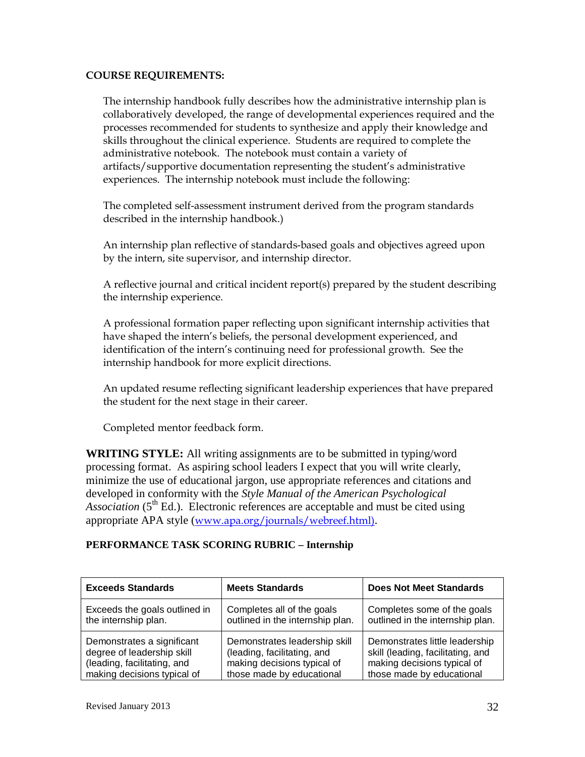#### **COURSE REQUIREMENTS:**

The internship handbook fully describes how the administrative internship plan is collaboratively developed, the range of developmental experiences required and the processes recommended for students to synthesize and apply their knowledge and skills throughout the clinical experience. Students are required to complete the administrative notebook. The notebook must contain a variety of artifacts/supportive documentation representing the student's administrative experiences. The internship notebook must include the following:

The completed self-assessment instrument derived from the program standards described in the internship handbook.)

An internship plan reflective of standards-based goals and objectives agreed upon by the intern, site supervisor, and internship director.

A reflective journal and critical incident report(s) prepared by the student describing the internship experience.

A professional formation paper reflecting upon significant internship activities that have shaped the intern's beliefs, the personal development experienced, and identification of the intern's continuing need for professional growth. See the internship handbook for more explicit directions.

An updated resume reflecting significant leadership experiences that have prepared the student for the next stage in their career.

Completed mentor feedback form.

**WRITING STYLE:** All writing assignments are to be submitted in typing/word processing format. As aspiring school leaders I expect that you will write clearly, minimize the use of educational jargon, use appropriate references and citations and developed in conformity with the *Style Manual of the American Psychological Association* ( $5<sup>th</sup>$  Ed.). Electronic references are acceptable and must be cited using appropriate APA style ([www.apa.org/journals/webreef.html\)](http://www.apa.org/journals/webreef.html)).

#### **PERFORMANCE TASK SCORING RUBRIC – Internship**

| <b>Exceeds Standards</b>      | <b>Meets Standards</b>           | <b>Does Not Meet Standards</b>    |
|-------------------------------|----------------------------------|-----------------------------------|
| Exceeds the goals outlined in | Completes all of the goals       | Completes some of the goals       |
| the internship plan.          | outlined in the internship plan. | outlined in the internship plan.  |
| Demonstrates a significant    | Demonstrates leadership skill    | Demonstrates little leadership    |
| degree of leadership skill    | (leading, facilitating, and      | skill (leading, facilitating, and |
| (leading, facilitating, and   | making decisions typical of      | making decisions typical of       |
| making decisions typical of   | those made by educational        | those made by educational         |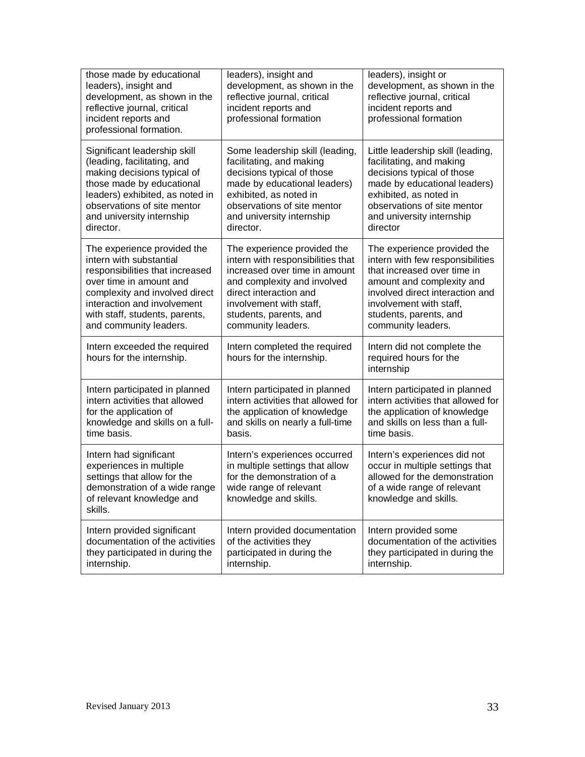| those made by educational<br>leaders), insight and<br>development, as shown in the<br>reflective journal, critical<br>incident reports and<br>professional formation. | leaders), insight and<br>development, as shown in the<br>reflective journal, critical<br>incident reports and<br>professional formation           | leaders), insight or<br>development, as shown in the<br>reflective journal, critical<br>incident reports and<br>professional formation                   |
|-----------------------------------------------------------------------------------------------------------------------------------------------------------------------|---------------------------------------------------------------------------------------------------------------------------------------------------|----------------------------------------------------------------------------------------------------------------------------------------------------------|
| Significant leadership skill                                                                                                                                          | Some leadership skill (leading,                                                                                                                   | Little leadership skill (leading,                                                                                                                        |
| (leading, facilitating, and                                                                                                                                           | facilitating, and making                                                                                                                          | facilitating, and making                                                                                                                                 |
| making decisions typical of                                                                                                                                           | decisions typical of those                                                                                                                        | decisions typical of those                                                                                                                               |
| those made by educational                                                                                                                                             | made by educational leaders)                                                                                                                      | made by educational leaders)                                                                                                                             |
| leaders) exhibited, as noted in                                                                                                                                       | exhibited, as noted in                                                                                                                            | exhibited, as noted in                                                                                                                                   |
| observations of site mentor                                                                                                                                           | observations of site mentor                                                                                                                       | observations of site mentor                                                                                                                              |
| and university internship                                                                                                                                             | and university internship                                                                                                                         | and university internship                                                                                                                                |
| director.                                                                                                                                                             | director.                                                                                                                                         | director                                                                                                                                                 |
| The experience provided the                                                                                                                                           | The experience provided the                                                                                                                       | The experience provided the                                                                                                                              |
| intern with substantial                                                                                                                                               | intern with responsibilities that                                                                                                                 | intern with few responsibilities                                                                                                                         |
| responsibilities that increased                                                                                                                                       | increased over time in amount                                                                                                                     | that increased over time in                                                                                                                              |
| over time in amount and                                                                                                                                               | and complexity and involved                                                                                                                       | amount and complexity and                                                                                                                                |
| complexity and involved direct                                                                                                                                        | direct interaction and                                                                                                                            | involved direct interaction and                                                                                                                          |
| interaction and involvement                                                                                                                                           | involvement with staff,                                                                                                                           | involvement with staff,                                                                                                                                  |
| with staff, students, parents,                                                                                                                                        | students, parents, and                                                                                                                            | students, parents, and                                                                                                                                   |
| and community leaders.                                                                                                                                                | community leaders.                                                                                                                                | community leaders.                                                                                                                                       |
| Intern exceeded the required<br>hours for the internship.                                                                                                             | Intern completed the required<br>hours for the internship.                                                                                        | Intern did not complete the<br>required hours for the<br>internship                                                                                      |
| Intern participated in planned                                                                                                                                        | Intern participated in planned                                                                                                                    | Intern participated in planned                                                                                                                           |
| intern activities that allowed                                                                                                                                        | intern activities that allowed for                                                                                                                | intern activities that allowed for                                                                                                                       |
| for the application of                                                                                                                                                | the application of knowledge                                                                                                                      | the application of knowledge                                                                                                                             |
| knowledge and skills on a full-                                                                                                                                       | and skills on nearly a full-time                                                                                                                  | and skills on less than a full-                                                                                                                          |
| time basis.                                                                                                                                                           | basis.                                                                                                                                            | time basis.                                                                                                                                              |
| Intern had significant<br>experiences in multiple<br>settings that allow for the<br>demonstration of a wide range<br>of relevant knowledge and<br>skills.             | Intern's experiences occurred<br>in multiple settings that allow<br>for the demonstration of a<br>wide range of relevant<br>knowledge and skills. | Intern's experiences did not<br>occur in multiple settings that<br>allowed for the demonstration<br>of a wide range of relevant<br>knowledge and skills. |
| Intern provided significant                                                                                                                                           | Intern provided documentation                                                                                                                     | Intern provided some                                                                                                                                     |
| documentation of the activities                                                                                                                                       | of the activities they                                                                                                                            | documentation of the activities                                                                                                                          |
| they participated in during the                                                                                                                                       | participated in during the                                                                                                                        | they participated in during the                                                                                                                          |
| internship.                                                                                                                                                           | internship.                                                                                                                                       | internship.                                                                                                                                              |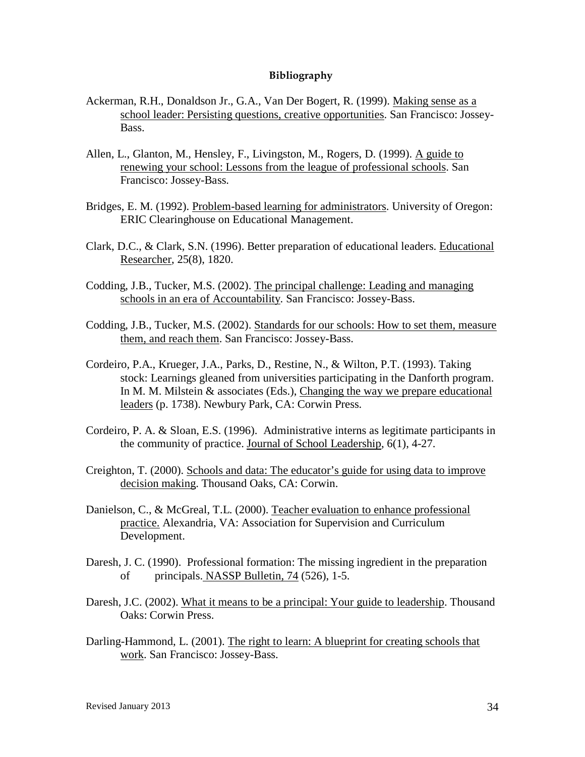#### **Bibliography**

- Ackerman, R.H., Donaldson Jr., G.A., Van Der Bogert, R. (1999). Making sense as a school leader: Persisting questions, creative opportunities. San Francisco: Jossey-Bass.
- Allen, L., Glanton, M., Hensley, F., Livingston, M., Rogers, D. (1999). A guide to renewing your school: Lessons from the league of professional schools. San Francisco: Jossey-Bass.
- Bridges, E. M. (1992). Problem-based learning for administrators. University of Oregon: ERIC Clearinghouse on Educational Management.
- Clark, D.C., & Clark, S.N. (1996). Better preparation of educational leaders. Educational Researcher, 25(8), 1820.
- Codding, J.B., Tucker, M.S. (2002). The principal challenge: Leading and managing schools in an era of Accountability. San Francisco: Jossey-Bass.
- Codding, J.B., Tucker, M.S. (2002). Standards for our schools: How to set them, measure them, and reach them. San Francisco: Jossey-Bass.
- Cordeiro, P.A., Krueger, J.A., Parks, D., Restine, N., & Wilton, P.T. (1993). Taking stock: Learnings gleaned from universities participating in the Danforth program. In M. M. Milstein & associates (Eds.), Changing the way we prepare educational leaders (p. 1738). Newbury Park, CA: Corwin Press.
- Cordeiro, P. A. & Sloan, E.S. (1996). Administrative interns as legitimate participants in the community of practice. Journal of School Leadership, 6(1), 4-27.
- Creighton, T. (2000). Schools and data: The educator's guide for using data to improve decision making. Thousand Oaks, CA: Corwin.
- Danielson, C., & McGreal, T.L. (2000). Teacher evaluation to enhance professional practice. Alexandria, VA: Association for Supervision and Curriculum Development.
- Daresh, J. C. (1990). Professional formation: The missing ingredient in the preparation of principals. NASSP Bulletin, 74 (526), 1-5.
- Daresh, J.C. (2002). What it means to be a principal: Your guide to leadership. Thousand Oaks: Corwin Press.
- Darling-Hammond, L. (2001). The right to learn: A blueprint for creating schools that work. San Francisco: Jossey-Bass.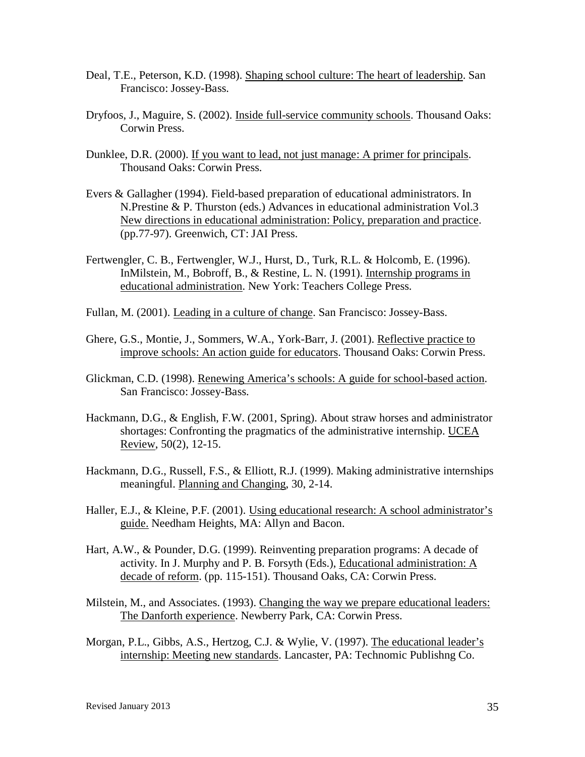- Deal, T.E., Peterson, K.D. (1998). Shaping school culture: The heart of leadership. San Francisco: Jossey-Bass.
- Dryfoos, J., Maguire, S. (2002). Inside full-service community schools. Thousand Oaks: Corwin Press.
- Dunklee, D.R. (2000). If you want to lead, not just manage: A primer for principals. Thousand Oaks: Corwin Press.
- Evers & Gallagher (1994). Field-based preparation of educational administrators. In N.Prestine & P. Thurston (eds.) Advances in educational administration Vol.3 New directions in educational administration: Policy, preparation and practice. (pp.77-97). Greenwich, CT: JAI Press.
- Fertwengler, C. B., Fertwengler, W.J., Hurst, D., Turk, R.L. & Holcomb, E. (1996). InMilstein, M., Bobroff, B., & Restine, L. N. (1991). Internship programs in educational administration. New York: Teachers College Press.
- Fullan, M. (2001). Leading in a culture of change. San Francisco: Jossey-Bass.
- Ghere, G.S., Montie, J., Sommers, W.A., York-Barr, J. (2001). Reflective practice to improve schools: An action guide for educators. Thousand Oaks: Corwin Press.
- Glickman, C.D. (1998). Renewing America's schools: A guide for school-based action. San Francisco: Jossey-Bass.
- Hackmann, D.G., & English, F.W. (2001, Spring). About straw horses and administrator shortages: Confronting the pragmatics of the administrative internship. UCEA Review, 50(2), 12-15.
- Hackmann, D.G., Russell, F.S., & Elliott, R.J. (1999). Making administrative internships meaningful. Planning and Changing, 30, 2-14.
- Haller, E.J., & Kleine, P.F. (2001). Using educational research: A school administrator's guide. Needham Heights, MA: Allyn and Bacon.
- Hart, A.W., & Pounder, D.G. (1999). Reinventing preparation programs: A decade of activity. In J. Murphy and P. B. Forsyth (Eds.), Educational administration: A decade of reform. (pp. 115-151). Thousand Oaks, CA: Corwin Press.
- Milstein, M., and Associates. (1993). Changing the way we prepare educational leaders: The Danforth experience. Newberry Park, CA: Corwin Press.
- Morgan, P.L., Gibbs, A.S., Hertzog, C.J. & Wylie, V. (1997). The educational leader's internship: Meeting new standards. Lancaster, PA: Technomic Publishng Co.